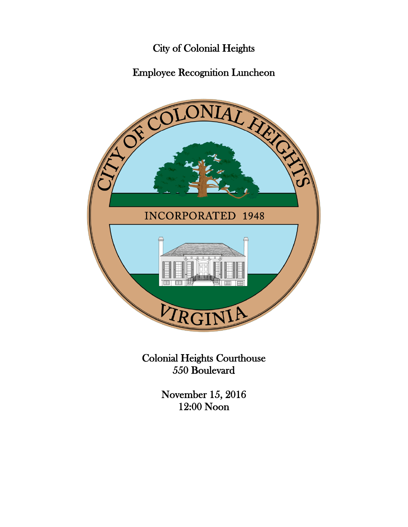# City of Colonial Heights

# Employee Recognition Luncheon



Colonial Heights Courthouse 550 Boulevard

> November 15, 2016 12:00 Noon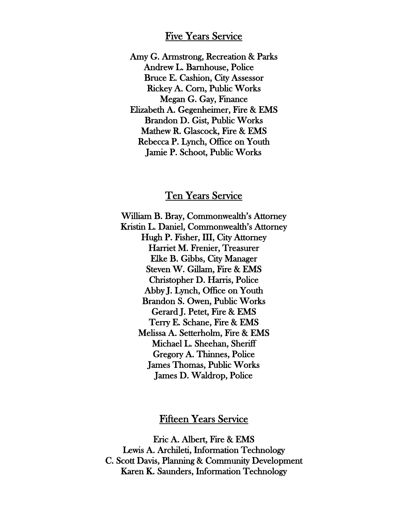#### Five Years Service

Amy G. Armstrong, Recreation & Parks Andrew L. Barnhouse, Police Bruce E. Cashion, City Assessor Rickey A. Corn, Public Works Megan G. Gay, Finance Elizabeth A. Gegenheimer, Fire & EMS Brandon D. Gist, Public Works Mathew R. Glascock, Fire & EMS Rebecca P. Lynch, Office on Youth Jamie P. Schoot, Public Works

### Ten Years Service

William B. Bray, Commonwealth's Attorney Kristin L. Daniel, Commonwealth's Attorney Hugh P. Fisher, III, City Attorney Harriet M. Frenier, Treasurer Elke B. Gibbs, City Manager Steven W. Gillam, Fire & EMS Christopher D. Harris, Police Abby J. Lynch, Office on Youth Brandon S. Owen, Public Works Gerard J. Petet, Fire & EMS Terry E. Schane, Fire & EMS Melissa A. Setterholm, Fire & EMS Michael L. Sheehan, Sheriff Gregory A. Thinnes, Police James Thomas, Public Works James D. Waldrop, Police

### Fifteen Years Service

Eric A. Albert, Fire & EMS Lewis A. Archileti, Information Technology C. Scott Davis, Planning & Community Development Karen K. Saunders, Information Technology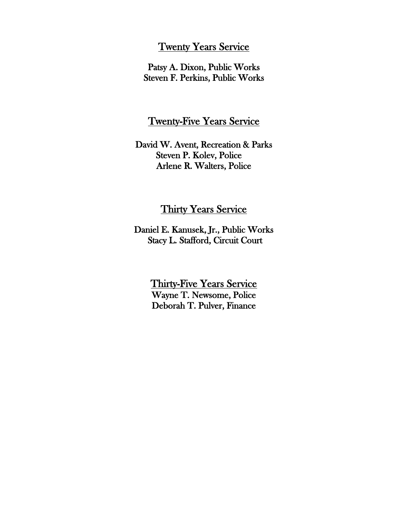### Twenty Years Service

Patsy A. Dixon, Public Works Steven F. Perkins, Public Works

### Twenty-Five Years Service

David W. Avent, Recreation & Parks Steven P. Kolev, Police Arlene R. Walters, Police

### Thirty Years Service

Daniel E. Kanusek, Jr., Public Works Stacy L. Stafford, Circuit Court

> Thirty-Five Years Service Wayne T. Newsome, Police Deborah T. Pulver, Finance